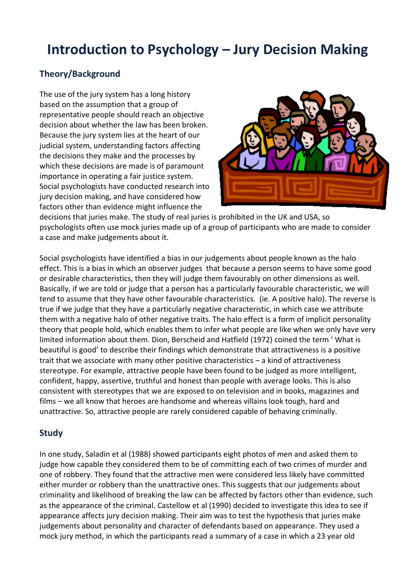## **Introduction to Psychology – Jury Decision Making**

## **Theory/Background**

The use of the jury system has a long history based on the assumption that a group of representative people should reach an objective decision about whether the law has been broken. Because the jury system lies at the heart of our judicial system, understanding factors affecting the decisions they make and the processes by which these decisions are made is of paramount importance in operating a fair justice system. Social psychologists have conducted research into jury decision making, and have considered how factors other than evidence might influence the



decisions that juries make. The study of real juries is prohibited in the UK and USA, so psychologists often use mock juries made up of a group of participants who are made to consider a case and make judgements about it.

Social psychologists have identified a bias in our judgements about people known as the halo effect. This is a bias in which an observer judges that because a person seems to have some good or desirable characteristics, then they will judge them favourably on other dimensions as well. Basically, if we are told or judge that a person has a particularly favourable characteristic, we will tend to assume that they have other favourable characteristics. (ie. A positive halo). The reverse is true if we judge that they have a particularly negative characteristic, in which case we attribute them with a negative halo of other negative traits. The halo effect is a form of implicit personality theory that people hold, which enables them to infer what people are like when we only have very limited information about them. Dion, Berscheid and Hatfield (1972) coined the term ' What is beautiful is good' to describe their findings which demonstrate that attractiveness is a positive trait that we associate with many other positive characteristics – a kind of attractiveness stereotype. For example, attractive people have been found to be judged as more intelligent, confident, happy, assertive, truthful and honest than people with average looks. This is also consistent with stereotypes that we are exposed to on television and in books, magazines and films – we all know that heroes are handsome and whereas villains look tough, hard and unattractive. So, attractive people are rarely considered capable of behaving criminally.

## **Study**

In one study, Saladin et al (1988) showed participants eight photos of men and asked them to judge how capable they considered them to be of committing each of two crimes of murder and one of robbery. They found that the attractive men were considered less likely have committed either murder or robbery than the unattractive ones. This suggests that our judgements about criminality and likelihood of breaking the law can be affected by factors other than evidence, such as the appearance of the criminal. Castellow et al (1990) decided to investigate this idea to see if appearance affects jury decision making. Their aim was to test the hypothesis that juries make judgements about personality and character of defendants based on appearance. They used a mock jury method, in which the participants read a summary of a case in which a 23 year old